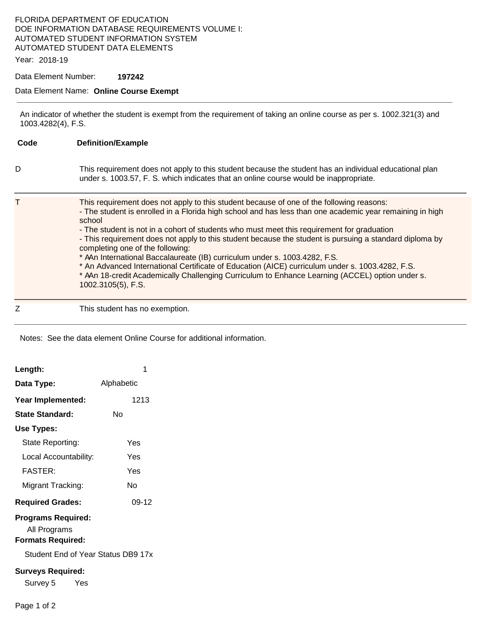## FLORIDA DEPARTMENT OF EDUCATION DOE INFORMATION DATABASE REQUIREMENTS VOLUME I: AUTOMATED STUDENT INFORMATION SYSTEM AUTOMATED STUDENT DATA ELEMENTS

Year: 2018-19

Data Element Number: **197242** 

#### Data Element Name: **Online Course Exempt**

An indicator of whether the student is exempt from the requirement of taking an online course as per s. 1002.321(3) and 1003.4282(4), F.S.

**Code Definition/Example**  D This requirement does not apply to this student because the student has an individual educational plan under s. 1003.57, F. S. which indicates that an online course would be inappropriate. T This requirement does not apply to this student because of one of the following reasons: - The student is enrolled in a Florida high school and has less than one academic year remaining in high school - The student is not in a cohort of students who must meet this requirement for graduation - This requirement does not apply to this student because the student is pursuing a standard diploma by completing one of the following: \* AAn International Baccalaureate (IB) curriculum under s. 1003.4282, F.S. \* An Advanced International Certificate of Education (AICE) curriculum under s. 1003.4282, F.S. \* A An 18-credit Academically Challenging Curriculum to Enhance Learning (ACCEL) option under s. 1002.3105(5), F.S. Z This student has no exemption.

Notes: See the data element Online Course for additional information.

| Length:                                                                                                     |            |  |
|-------------------------------------------------------------------------------------------------------------|------------|--|
| Data Type:                                                                                                  | Alphabetic |  |
| Year Implemented:                                                                                           | 1213       |  |
| N٥<br><b>State Standard:</b>                                                                                |            |  |
| Use Types:                                                                                                  |            |  |
| State Reporting:                                                                                            | Yes        |  |
| Local Accountability:                                                                                       | Yes        |  |
| FASTFR·                                                                                                     | Yes        |  |
| Migrant Tracking:                                                                                           | N٥         |  |
| <b>Required Grades:</b>                                                                                     | $09-12$    |  |
| <b>Programs Required:</b><br>All Programs<br><b>Formats Required:</b><br>Student End of Year Status DB9 17x |            |  |
| <b>Surveys Required:</b>                                                                                    |            |  |
| Survey 5 Yes                                                                                                |            |  |